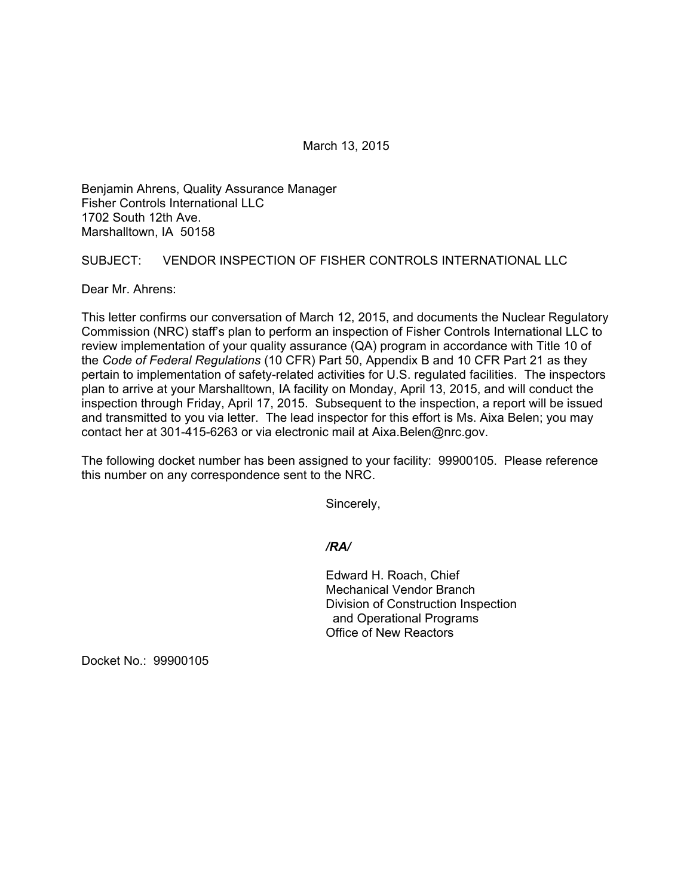March 13, 2015

Benjamin Ahrens, Quality Assurance Manager Fisher Controls International LLC 1702 South 12th Ave. Marshalltown, IA 50158

## SUBJECT: VENDOR INSPECTION OF FISHER CONTROLS INTERNATIONAL LLC

Dear Mr. Ahrens:

This letter confirms our conversation of March 12, 2015, and documents the Nuclear Regulatory Commission (NRC) staff's plan to perform an inspection of Fisher Controls International LLC to review implementation of your quality assurance (QA) program in accordance with Title 10 of the *Code of Federal Regulations* (10 CFR) Part 50, Appendix B and 10 CFR Part 21 as they pertain to implementation of safety-related activities for U.S. regulated facilities. The inspectors plan to arrive at your Marshalltown, IA facility on Monday, April 13, 2015, and will conduct the inspection through Friday, April 17, 2015. Subsequent to the inspection, a report will be issued and transmitted to you via letter. The lead inspector for this effort is Ms. Aixa Belen; you may contact her at 301-415-6263 or via electronic mail at Aixa.Belen@nrc.gov.

The following docket number has been assigned to your facility: 99900105. Please reference this number on any correspondence sent to the NRC.

Sincerely,

### */RA/*

 Edward H. Roach, Chief Mechanical Vendor Branch Division of Construction Inspection and Operational Programs Office of New Reactors

Docket No.: 99900105